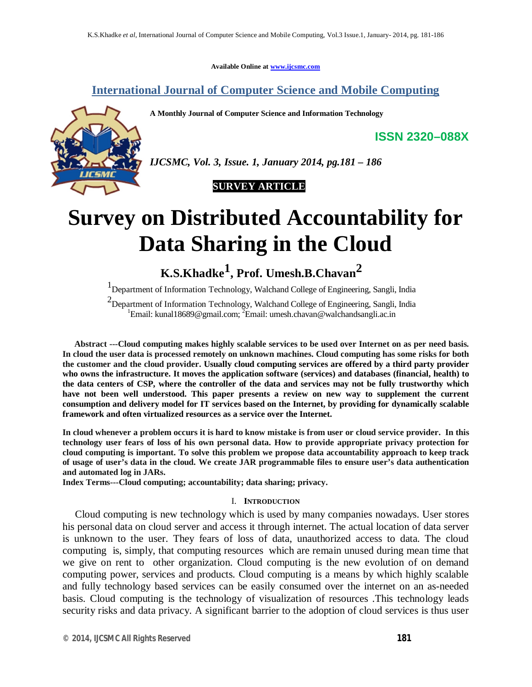**Available Online at www.ijcsmc.com**

**International Journal of Computer Science and Mobile Computing**

**A Monthly Journal of Computer Science and Information Technology**



*IJCSMC, Vol. 3, Issue. 1, January 2014, pg.181 – 186*



# **Survey on Distributed Accountability for Data Sharing in the Cloud**

**K.S.Khadke1 , Prof. Umesh.B.Chavan2**

1 Department of Information Technology, Walchand College of Engineering, Sangli, India

<sup>2</sup> Department of Information Technology, Walchand College of Engineering, Sangli, India <sup>1</sup>Email: kunal18689@gmail.com; <sup>2</sup>Email: umesh.chavan@walchandsangli.ac.in

**Abstract ---Cloud computing makes highly scalable services to be used over Internet on as per need basis. In cloud the user data is processed remotely on unknown machines. Cloud computing has some risks for both the customer and the cloud provider. Usually cloud computing services are offered by a third party provider who owns the infrastructure. It moves the application software (services) and databases (financial, health) to the data centers of CSP, where the controller of the data and services may not be fully trustworthy which have not been well understood. This paper presents a review on new way to supplement the current consumption and delivery model for IT services based on the Internet, by providing for dynamically scalable framework and often virtualized resources as a service over the Internet.**

**In cloud whenever a problem occurs it is hard to know mistake is from user or cloud service provider. In this technology user fears of loss of his own personal data. How to provide appropriate privacy protection for cloud computing is important. To solve this problem we propose data accountability approach to keep track of usage of user's data in the cloud. We create JAR programmable files to ensure user's data authentication and automated log in JARs.**

**Index Terms---Cloud computing; accountability; data sharing; privacy.**

## I. **INTRODUCTION**

Cloud computing is new technology which is used by many companies nowadays. User stores his personal data on cloud server and access it through internet. The actual location of data server is unknown to the user. They fears of loss of data, unauthorized access to data. The cloud computing is, simply, that computing resources which are remain unused during mean time that we give on rent to other organization. Cloud computing is the new evolution of on demand computing power, services and products. Cloud computing is a means by which highly scalable and fully technology based services can be easily consumed over the internet on an as-needed basis. Cloud computing is the technology of visualization of resources .This technology leads security risks and data privacy. A significant barrier to the adoption of cloud services is thus user

**ISSN 2320–088X**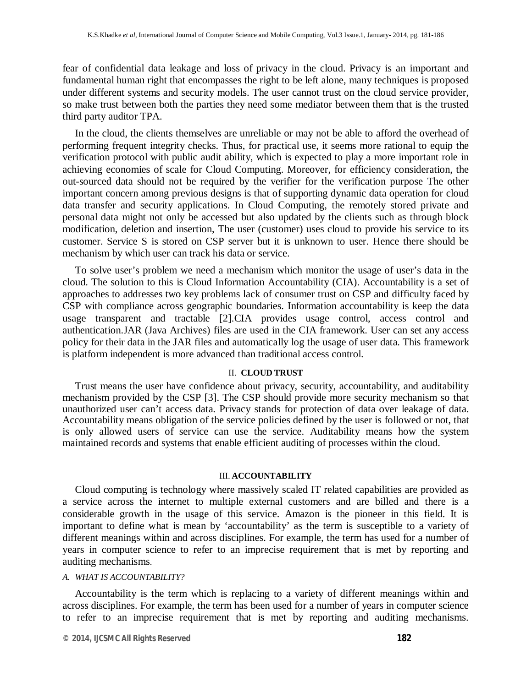fear of confidential data leakage and loss of privacy in the cloud. Privacy is an important and fundamental human right that encompasses the right to be left alone, many techniques is proposed under different systems and security models. The user cannot trust on the cloud service provider, so make trust between both the parties they need some mediator between them that is the trusted third party auditor TPA.

In the cloud, the clients themselves are unreliable or may not be able to afford the overhead of performing frequent integrity checks. Thus, for practical use, it seems more rational to equip the verification protocol with public audit ability, which is expected to play a more important role in achieving economies of scale for Cloud Computing. Moreover, for efficiency consideration, the out-sourced data should not be required by the verifier for the verification purpose The other important concern among previous designs is that of supporting dynamic data operation for cloud data transfer and security applications. In Cloud Computing, the remotely stored private and personal data might not only be accessed but also updated by the clients such as through block modification, deletion and insertion, The user (customer) uses cloud to provide his service to its customer. Service S is stored on CSP server but it is unknown to user. Hence there should be mechanism by which user can track his data or service.

To solve user's problem we need a mechanism which monitor the usage of user's data in the cloud. The solution to this is Cloud Information Accountability (CIA). Accountability is a set of approaches to addresses two key problems lack of consumer trust on CSP and difficulty faced by CSP with compliance across geographic boundaries. Information accountability is keep the data usage transparent and tractable [2].CIA provides usage control, access control and authentication.JAR (Java Archives) files are used in the CIA framework. User can set any access policy for their data in the JAR files and automatically log the usage of user data. This framework is platform independent is more advanced than traditional access control.

#### II. **CLOUD TRUST**

Trust means the user have confidence about privacy, security, accountability, and auditability mechanism provided by the CSP [3]. The CSP should provide more security mechanism so that unauthorized user can't access data. Privacy stands for protection of data over leakage of data. Accountability means obligation of the service policies defined by the user is followed or not, that is only allowed users of service can use the service. Auditability means how the system maintained records and systems that enable efficient auditing of processes within the cloud.

## III. **ACCOUNTABILITY**

Cloud computing is technology where massively scaled IT related capabilities are provided as a service across the internet to multiple external customers and are billed and there is a considerable growth in the usage of this service. Amazon is the pioneer in this field. It is important to define what is mean by 'accountability' as the term is susceptible to a variety of different meanings within and across disciplines. For example, the term has used for a number of years in computer science to refer to an imprecise requirement that is met by reporting and auditing mechanisms.

## *A. WHAT IS ACCOUNTABILITY?*

Accountability is the term which is replacing to a variety of different meanings within and across disciplines. For example, the term has been used for a number of years in computer science to refer to an imprecise requirement that is met by reporting and auditing mechanisms.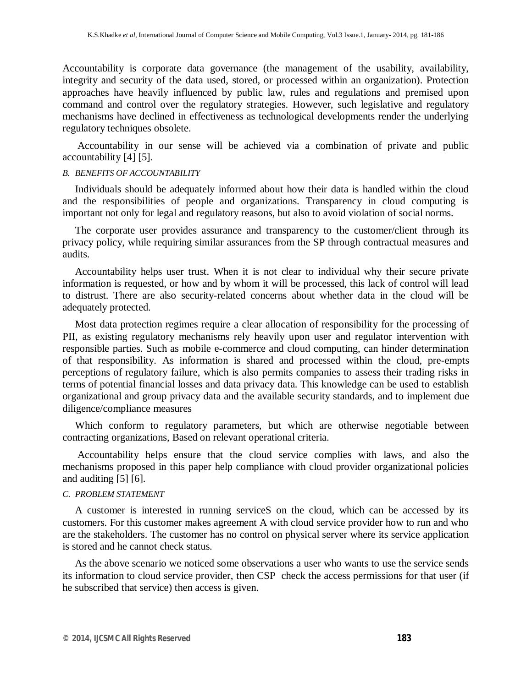Accountability is corporate data governance (the management of the usability, availability, integrity and security of the data used, stored, or processed within an organization). Protection approaches have heavily influenced by public law, rules and regulations and premised upon command and control over the regulatory strategies. However, such legislative and regulatory mechanisms have declined in effectiveness as technological developments render the underlying regulatory techniques obsolete.

Accountability in our sense will be achieved via a combination of private and public accountability [4] [5].

## *B. BENEFITS OF ACCOUNTABILITY*

Individuals should be adequately informed about how their data is handled within the cloud and the responsibilities of people and organizations. Transparency in cloud computing is important not only for legal and regulatory reasons, but also to avoid violation of social norms.

The corporate user provides assurance and transparency to the customer/client through its privacy policy, while requiring similar assurances from the SP through contractual measures and audits.

Accountability helps user trust. When it is not clear to individual why their secure private information is requested, or how and by whom it will be processed, this lack of control will lead to distrust. There are also security-related concerns about whether data in the cloud will be adequately protected.

Most data protection regimes require a clear allocation of responsibility for the processing of PII, as existing regulatory mechanisms rely heavily upon user and regulator intervention with responsible parties. Such as mobile e-commerce and cloud computing, can hinder determination of that responsibility. As information is shared and processed within the cloud, pre-empts perceptions of regulatory failure, which is also permits companies to assess their trading risks in terms of potential financial losses and data privacy data. This knowledge can be used to establish organizational and group privacy data and the available security standards, and to implement due diligence/compliance measures

Which conform to regulatory parameters, but which are otherwise negotiable between contracting organizations, Based on relevant operational criteria.

Accountability helps ensure that the cloud service complies with laws, and also the mechanisms proposed in this paper help compliance with cloud provider organizational policies and auditing [5] [6].

## *C. PROBLEM STATEMENT*

A customer is interested in running serviceS on the cloud, which can be accessed by its customers. For this customer makes agreement A with cloud service provider how to run and who are the stakeholders. The customer has no control on physical server where its service application is stored and he cannot check status.

As the above scenario we noticed some observations a user who wants to use the service sends its information to cloud service provider, then CSP check the access permissions for that user (if he subscribed that service) then access is given.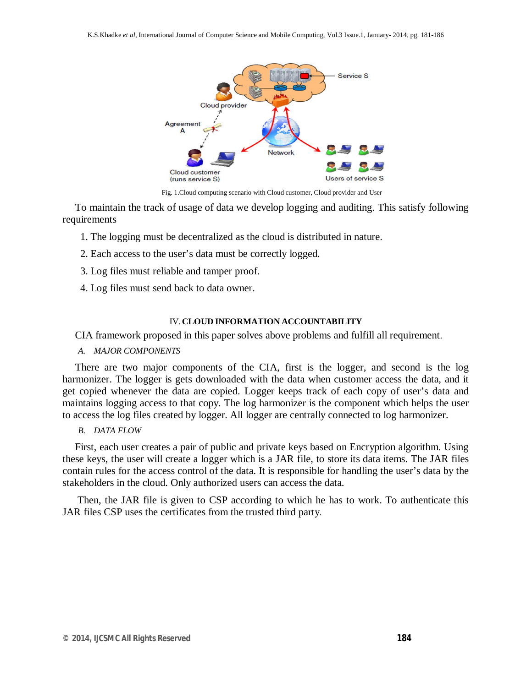

Fig. 1.Cloud computing scenario with Cloud customer, Cloud provider and User

To maintain the track of usage of data we develop logging and auditing. This satisfy following requirements

- 1. The logging must be decentralized as the cloud is distributed in nature.
- 2. Each access to the user's data must be correctly logged.
- 3. Log files must reliable and tamper proof.
- 4. Log files must send back to data owner.

## IV.**CLOUD INFORMATION ACCOUNTABILITY**

## CIA framework proposed in this paper solves above problems and fulfill all requirement.

*A. MAJOR COMPONENTS*

There are two major components of the CIA, first is the logger, and second is the log harmonizer. The logger is gets downloaded with the data when customer access the data, and it get copied whenever the data are copied. Logger keeps track of each copy of user's data and maintains logging access to that copy. The log harmonizer is the component which helps the user to access the log files created by logger. All logger are centrally connected to log harmonizer.

# *B. DATA FLOW*

First, each user creates a pair of public and private keys based on Encryption algorithm. Using these keys, the user will create a logger which is a JAR file, to store its data items. The JAR files contain rules for the access control of the data. It is responsible for handling the user's data by the stakeholders in the cloud. Only authorized users can access the data.

Then, the JAR file is given to CSP according to which he has to work. To authenticate this JAR files CSP uses the certificates from the trusted third party.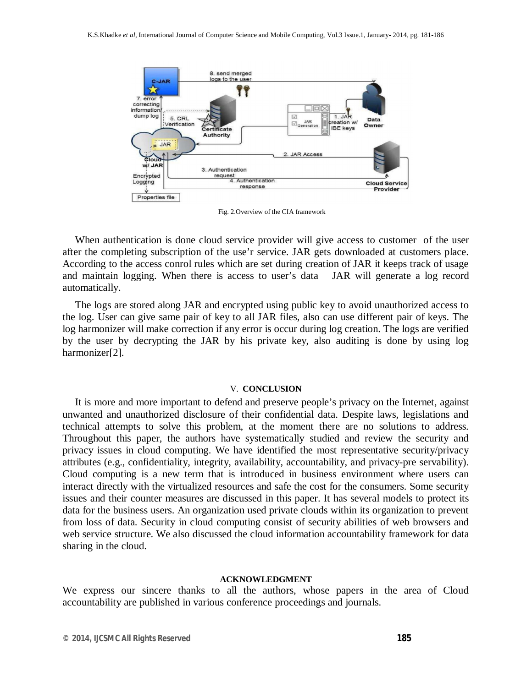

Fig. 2.Overview of the CIA framework

When authentication is done cloud service provider will give access to customer of the user after the completing subscription of the use'r service. JAR gets downloaded at customers place. According to the access conrol rules which are set during creation of JAR it keeps track of usage and maintain logging. When there is access to user's data JAR will generate a log record automatically.

The logs are stored along JAR and encrypted using public key to avoid unauthorized access to the log. User can give same pair of key to all JAR files, also can use different pair of keys. The log harmonizer will make correction if any error is occur during log creation. The logs are verified by the user by decrypting the JAR by his private key, also auditing is done by using log harmonizer[2].

## V. **CONCLUSION**

It is more and more important to defend and preserve people's privacy on the Internet, against unwanted and unauthorized disclosure of their confidential data. Despite laws, legislations and technical attempts to solve this problem, at the moment there are no solutions to address. Throughout this paper, the authors have systematically studied and review the security and privacy issues in cloud computing. We have identified the most representative security/privacy attributes (e.g., confidentiality, integrity, availability, accountability, and privacy-pre servability). Cloud computing is a new term that is introduced in business environment where users can interact directly with the virtualized resources and safe the cost for the consumers. Some security issues and their counter measures are discussed in this paper. It has several models to protect its data for the business users. An organization used private clouds within its organization to prevent from loss of data. Security in cloud computing consist of security abilities of web browsers and web service structure. We also discussed the cloud information accountability framework for data sharing in the cloud.

## **ACKNOWLEDGMENT**

We express our sincere thanks to all the authors, whose papers in the area of Cloud accountability are published in various conference proceedings and journals.